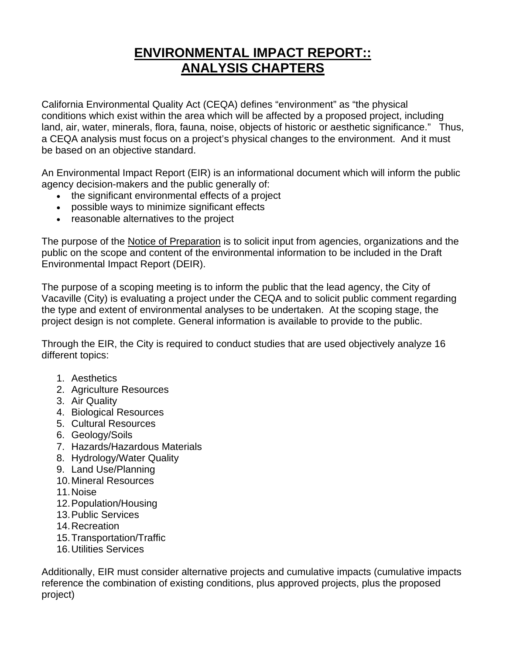California Environmental Quality Act (CEQA) defines "environment" as "the physical conditions which exist within the area which will be affected by a proposed project, including land, air, water, minerals, flora, fauna, noise, objects of historic or aesthetic significance." Thus, a CEQA analysis must focus on a project's physical changes to the environment. And it must be based on an objective standard.

An Environmental Impact Report (EIR) is an informational document which will inform the public agency decision-makers and the public generally of:

- the significant environmental effects of a project
- possible ways to minimize significant effects
- reasonable alternatives to the project

The purpose of the Notice of Preparation is to solicit input from agencies, organizations and the public on the scope and content of the environmental information to be included in the Draft Environmental Impact Report (DEIR).

The purpose of a scoping meeting is to inform the public that the lead agency, the City of Vacaville (City) is evaluating a project under the CEQA and to solicit public comment regarding the type and extent of environmental analyses to be undertaken. At the scoping stage, the project design is not complete. General information is available to provide to the public.

Through the EIR, the City is required to conduct studies that are used objectively analyze 16 different topics:

- 1. Aesthetics
- 2. Agriculture Resources
- 3. Air Quality
- 4. Biological Resources
- 5. Cultural Resources
- 6. Geology/Soils
- 7. Hazards/Hazardous Materials
- 8. Hydrology/Water Quality
- 9. Land Use/Planning
- 10. Mineral Resources
- 11. Noise
- 12. Population/Housing
- 13. Public Services
- 14. Recreation
- 15. Transportation/Traffic
- 16. Utilities Services

Additionally, EIR must consider alternative projects and cumulative impacts (cumulative impacts reference the combination of existing conditions, plus approved projects, plus the proposed project)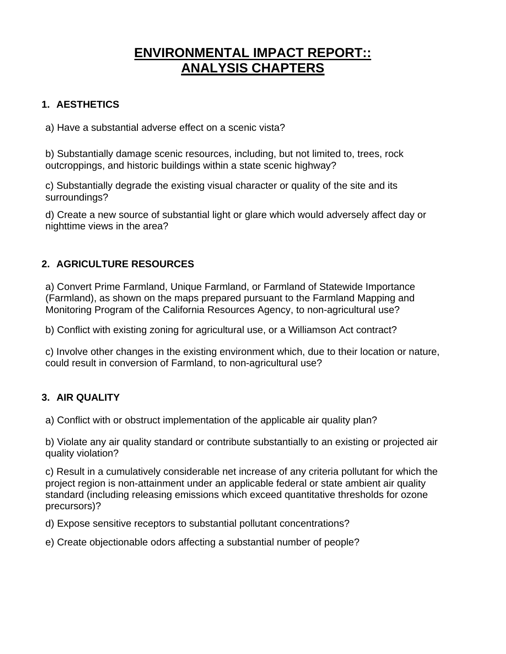### **1. AESTHETICS**

a) Have a substantial adverse effect on a scenic vista?

b) Substantially damage scenic resources, including, but not limited to, trees, rock outcroppings, and historic buildings within a state scenic highway?

c) Substantially degrade the existing visual character or quality of the site and its surroundings?

d) Create a new source of substantial light or glare which would adversely affect day or nighttime views in the area?

### **2. AGRICULTURE RESOURCES**

a) Convert Prime Farmland, Unique Farmland, or Farmland of Statewide Importance (Farmland), as shown on the maps prepared pursuant to the Farmland Mapping and Monitoring Program of the California Resources Agency, to non-agricultural use?

b) Conflict with existing zoning for agricultural use, or a Williamson Act contract?

c) Involve other changes in the existing environment which, due to their location or nature, could result in conversion of Farmland, to non-agricultural use?

### **3. AIR QUALITY**

a) Conflict with or obstruct implementation of the applicable air quality plan?

b) Violate any air quality standard or contribute substantially to an existing or projected air quality violation?

c) Result in a cumulatively considerable net increase of any criteria pollutant for which the project region is non-attainment under an applicable federal or state ambient air quality standard (including releasing emissions which exceed quantitative thresholds for ozone precursors)?

d) Expose sensitive receptors to substantial pollutant concentrations?

e) Create objectionable odors affecting a substantial number of people?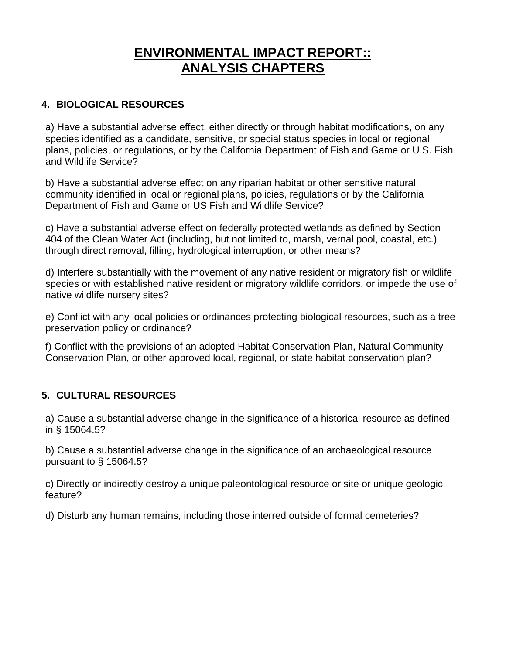### **4. BIOLOGICAL RESOURCES**

a) Have a substantial adverse effect, either directly or through habitat modifications, on any species identified as a candidate, sensitive, or special status species in local or regional plans, policies, or regulations, or by the California Department of Fish and Game or U.S. Fish and Wildlife Service?

b) Have a substantial adverse effect on any riparian habitat or other sensitive natural community identified in local or regional plans, policies, regulations or by the California Department of Fish and Game or US Fish and Wildlife Service?

c) Have a substantial adverse effect on federally protected wetlands as defined by Section 404 of the Clean Water Act (including, but not limited to, marsh, vernal pool, coastal, etc.) through direct removal, filling, hydrological interruption, or other means?

d) Interfere substantially with the movement of any native resident or migratory fish or wildlife species or with established native resident or migratory wildlife corridors, or impede the use of native wildlife nursery sites?

e) Conflict with any local policies or ordinances protecting biological resources, such as a tree preservation policy or ordinance?

f) Conflict with the provisions of an adopted Habitat Conservation Plan, Natural Community Conservation Plan, or other approved local, regional, or state habitat conservation plan?

### **5. CULTURAL RESOURCES**

a) Cause a substantial adverse change in the significance of a historical resource as defined in § 15064.5?

b) Cause a substantial adverse change in the significance of an archaeological resource pursuant to § 15064.5?

c) Directly or indirectly destroy a unique paleontological resource or site or unique geologic feature?

d) Disturb any human remains, including those interred outside of formal cemeteries?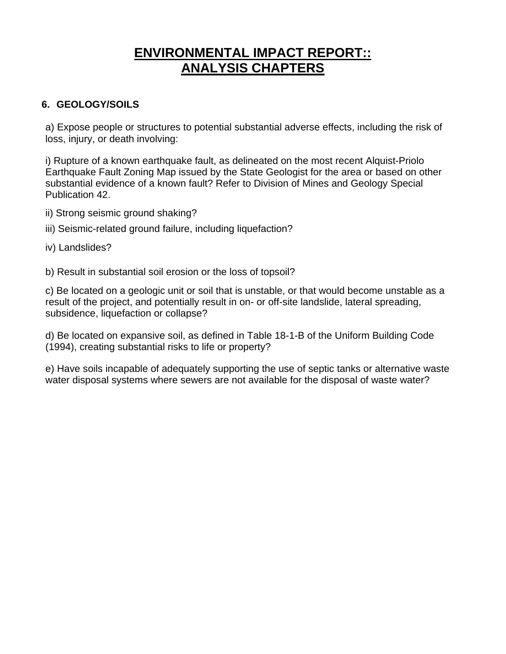### **6. GEOLOGY/SOILS**

a) Expose people or structures to potential substantial adverse effects, including the risk of loss, injury, or death involving:

i) Rupture of a known earthquake fault, as delineated on the most recent Alquist-Priolo Earthquake Fault Zoning Map issued by the State Geologist for the area or based on other substantial evidence of a known fault? Refer to Division of Mines and Geology Special Publication 42.

- ii) Strong seismic ground shaking?
- iii) Seismic-related ground failure, including liquefaction?
- iv) Landslides?
- b) Result in substantial soil erosion or the loss of topsoil?

c) Be located on a geologic unit or soil that is unstable, or that would become unstable as a result of the project, and potentially result in on- or off-site landslide, lateral spreading, subsidence, liquefaction or collapse?

d) Be located on expansive soil, as defined in Table 18-1-B of the Uniform Building Code (1994), creating substantial risks to life or property?

e) Have soils incapable of adequately supporting the use of septic tanks or alternative waste water disposal systems where sewers are not available for the disposal of waste water?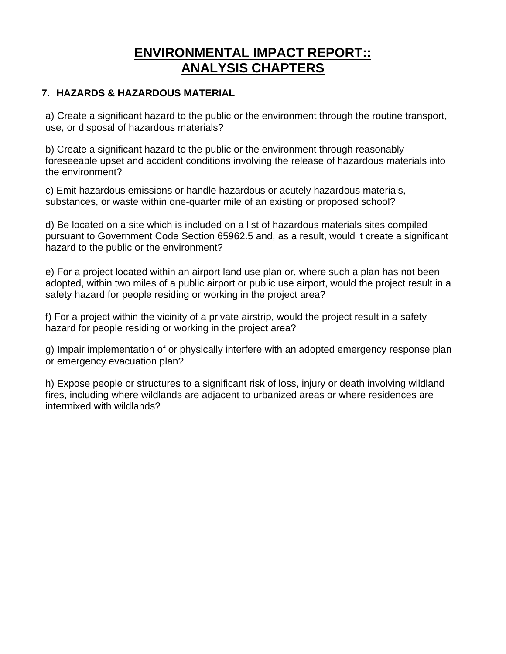### **7. HAZARDS & HAZARDOUS MATERIAL**

a) Create a significant hazard to the public or the environment through the routine transport, use, or disposal of hazardous materials?

b) Create a significant hazard to the public or the environment through reasonably foreseeable upset and accident conditions involving the release of hazardous materials into the environment?

c) Emit hazardous emissions or handle hazardous or acutely hazardous materials, substances, or waste within one-quarter mile of an existing or proposed school?

d) Be located on a site which is included on a list of hazardous materials sites compiled pursuant to Government Code Section 65962.5 and, as a result, would it create a significant hazard to the public or the environment?

e) For a project located within an airport land use plan or, where such a plan has not been adopted, within two miles of a public airport or public use airport, would the project result in a safety hazard for people residing or working in the project area?

f) For a project within the vicinity of a private airstrip, would the project result in a safety hazard for people residing or working in the project area?

g) Impair implementation of or physically interfere with an adopted emergency response plan or emergency evacuation plan?

h) Expose people or structures to a significant risk of loss, injury or death involving wildland fires, including where wildlands are adjacent to urbanized areas or where residences are intermixed with wildlands?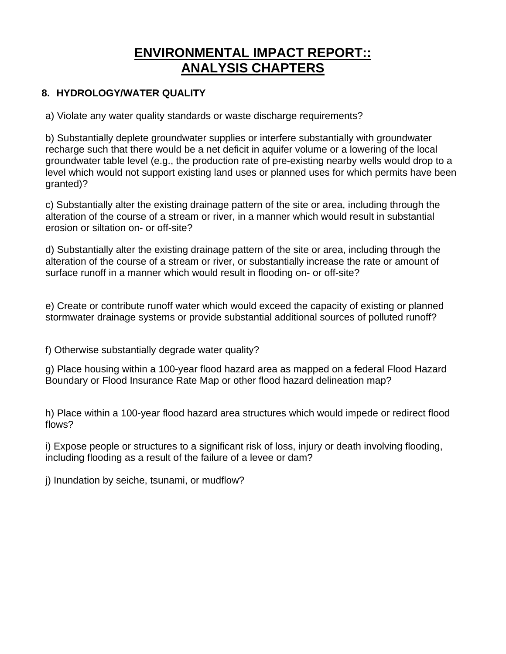### **8. HYDROLOGY/WATER QUALITY**

a) Violate any water quality standards or waste discharge requirements?

b) Substantially deplete groundwater supplies or interfere substantially with groundwater recharge such that there would be a net deficit in aquifer volume or a lowering of the local groundwater table level (e.g., the production rate of pre-existing nearby wells would drop to a level which would not support existing land uses or planned uses for which permits have been granted)?

c) Substantially alter the existing drainage pattern of the site or area, including through the alteration of the course of a stream or river, in a manner which would result in substantial erosion or siltation on- or off-site?

d) Substantially alter the existing drainage pattern of the site or area, including through the alteration of the course of a stream or river, or substantially increase the rate or amount of surface runoff in a manner which would result in flooding on- or off-site?

e) Create or contribute runoff water which would exceed the capacity of existing or planned stormwater drainage systems or provide substantial additional sources of polluted runoff?

f) Otherwise substantially degrade water quality?

g) Place housing within a 100-year flood hazard area as mapped on a federal Flood Hazard Boundary or Flood Insurance Rate Map or other flood hazard delineation map?

h) Place within a 100-year flood hazard area structures which would impede or redirect flood flows?

i) Expose people or structures to a significant risk of loss, injury or death involving flooding, including flooding as a result of the failure of a levee or dam?

j) Inundation by seiche, tsunami, or mudflow?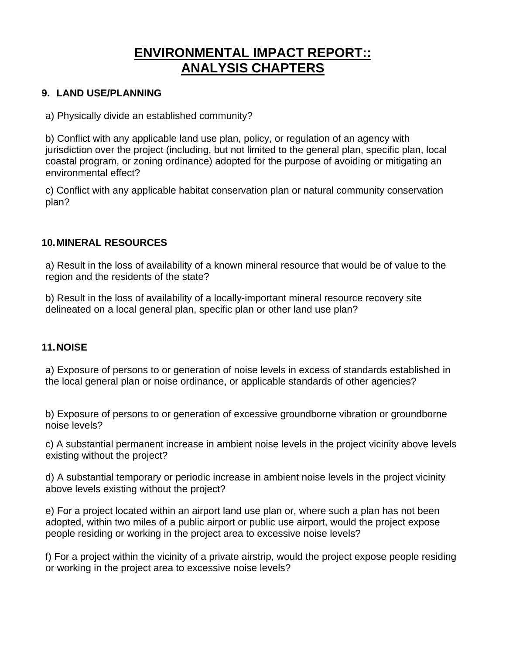#### **9. LAND USE/PLANNING**

a) Physically divide an established community?

b) Conflict with any applicable land use plan, policy, or regulation of an agency with jurisdiction over the project (including, but not limited to the general plan, specific plan, local coastal program, or zoning ordinance) adopted for the purpose of avoiding or mitigating an environmental effect?

c) Conflict with any applicable habitat conservation plan or natural community conservation plan?

### **10. MINERAL RESOURCES**

a) Result in the loss of availability of a known mineral resource that would be of value to the region and the residents of the state?

b) Result in the loss of availability of a locally-important mineral resource recovery site delineated on a local general plan, specific plan or other land use plan?

#### **11. NOISE**

a) Exposure of persons to or generation of noise levels in excess of standards established in the local general plan or noise ordinance, or applicable standards of other agencies?

b) Exposure of persons to or generation of excessive groundborne vibration or groundborne noise levels?

c) A substantial permanent increase in ambient noise levels in the project vicinity above levels existing without the project?

d) A substantial temporary or periodic increase in ambient noise levels in the project vicinity above levels existing without the project?

e) For a project located within an airport land use plan or, where such a plan has not been adopted, within two miles of a public airport or public use airport, would the project expose people residing or working in the project area to excessive noise levels?

f) For a project within the vicinity of a private airstrip, would the project expose people residing or working in the project area to excessive noise levels?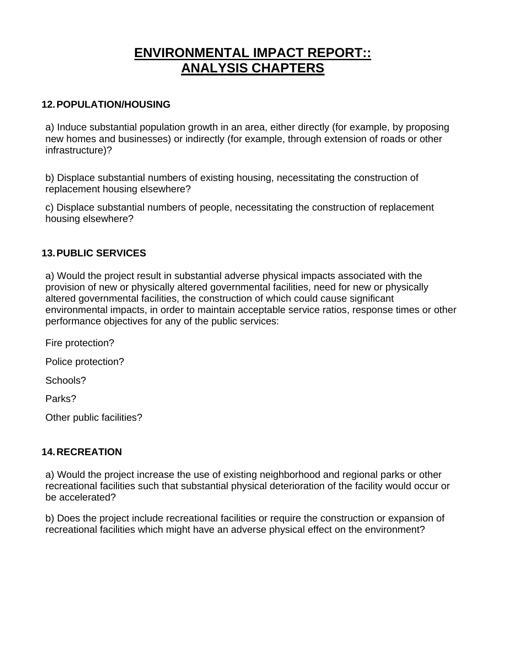#### **12. POPULATION/HOUSING**

a) Induce substantial population growth in an area, either directly (for example, by proposing new homes and businesses) or indirectly (for example, through extension of roads or other infrastructure)?

b) Displace substantial numbers of existing housing, necessitating the construction of replacement housing elsewhere?

c) Displace substantial numbers of people, necessitating the construction of replacement housing elsewhere?

#### **13. PUBLIC SERVICES**

a) Would the project result in substantial adverse physical impacts associated with the provision of new or physically altered governmental facilities, need for new or physically altered governmental facilities, the construction of which could cause significant environmental impacts, in order to maintain acceptable service ratios, response times or other performance objectives for any of the public services:

Fire protection?

Police protection?

Schools?

Parks?

Other public facilities?

#### **14. RECREATION**

a) Would the project increase the use of existing neighborhood and regional parks or other recreational facilities such that substantial physical deterioration of the facility would occur or be accelerated?

b) Does the project include recreational facilities or require the construction or expansion of recreational facilities which might have an adverse physical effect on the environment?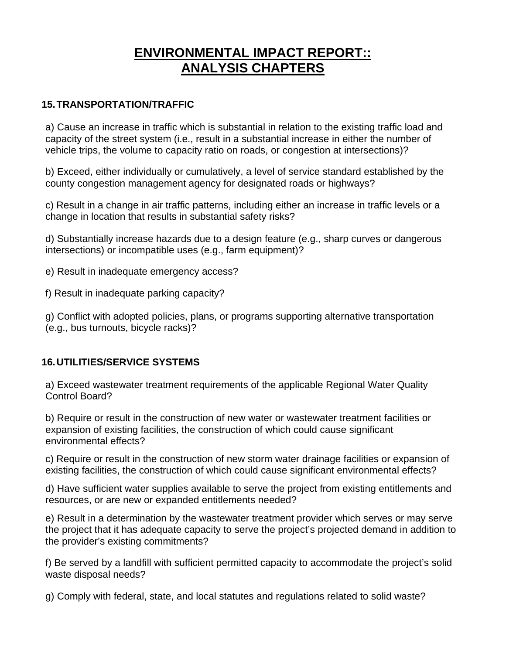#### **15. TRANSPORTATION/TRAFFIC**

a) Cause an increase in traffic which is substantial in relation to the existing traffic load and capacity of the street system (i.e., result in a substantial increase in either the number of vehicle trips, the volume to capacity ratio on roads, or congestion at intersections)?

b) Exceed, either individually or cumulatively, a level of service standard established by the county congestion management agency for designated roads or highways?

c) Result in a change in air traffic patterns, including either an increase in traffic levels or a change in location that results in substantial safety risks?

d) Substantially increase hazards due to a design feature (e.g., sharp curves or dangerous intersections) or incompatible uses (e.g., farm equipment)?

e) Result in inadequate emergency access?

f) Result in inadequate parking capacity?

g) Conflict with adopted policies, plans, or programs supporting alternative transportation (e.g., bus turnouts, bicycle racks)?

### **16. UTILITIES/SERVICE SYSTEMS**

a) Exceed wastewater treatment requirements of the applicable Regional Water Quality Control Board?

b) Require or result in the construction of new water or wastewater treatment facilities or expansion of existing facilities, the construction of which could cause significant environmental effects?

c) Require or result in the construction of new storm water drainage facilities or expansion of existing facilities, the construction of which could cause significant environmental effects?

d) Have sufficient water supplies available to serve the project from existing entitlements and resources, or are new or expanded entitlements needed?

e) Result in a determination by the wastewater treatment provider which serves or may serve the project that it has adequate capacity to serve the project's projected demand in addition to the provider's existing commitments?

f) Be served by a landfill with sufficient permitted capacity to accommodate the project's solid waste disposal needs?

g) Comply with federal, state, and local statutes and regulations related to solid waste?